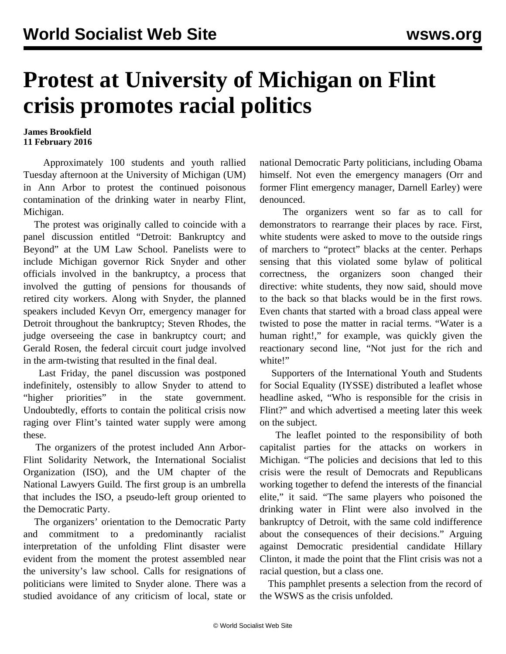## **Protest at University of Michigan on Flint crisis promotes racial politics**

## **James Brookfield 11 February 2016**

 Approximately 100 students and youth rallied Tuesday afternoon at the University of Michigan (UM) in Ann Arbor to protest the continued poisonous contamination of the drinking water in nearby Flint, Michigan.

 The protest was originally called to coincide with a panel discussion entitled "Detroit: Bankruptcy and Beyond" at the UM Law School. Panelists were to include Michigan governor Rick Snyder and other officials involved in the bankruptcy, a process that involved the gutting of pensions for thousands of retired city workers. Along with Snyder, the planned speakers included Kevyn Orr, emergency manager for Detroit throughout the bankruptcy; Steven Rhodes, the judge overseeing the case in bankruptcy court; and Gerald Rosen, the federal circuit court judge involved in the arm-twisting that resulted in the final deal.

 Last Friday, the panel discussion was postponed indefinitely, ostensibly to allow Snyder to attend to "higher priorities" in the state government. Undoubtedly, efforts to contain the political crisis now raging over Flint's tainted water supply were among these.

 The organizers of the protest included Ann Arbor-Flint Solidarity Network, the International Socialist Organization (ISO), and the UM chapter of the National Lawyers Guild. The first group is an umbrella that includes the ISO, a pseudo-left group oriented to the Democratic Party.

 The organizers' orientation to the Democratic Party and commitment to a predominantly racialist interpretation of the unfolding Flint disaster were evident from the moment the protest assembled near the university's law school. Calls for resignations of politicians were limited to Snyder alone. There was a studied avoidance of any criticism of local, state or national Democratic Party politicians, including Obama himself. Not even the emergency managers (Orr and former Flint emergency manager, Darnell Earley) were denounced.

 The organizers went so far as to call for demonstrators to rearrange their places by race. First, white students were asked to move to the outside rings of marchers to "protect" blacks at the center. Perhaps sensing that this violated some bylaw of political correctness, the organizers soon changed their directive: white students, they now said, should move to the back so that blacks would be in the first rows. Even chants that started with a broad class appeal were twisted to pose the matter in racial terms. "Water is a human right!," for example, was quickly given the reactionary second line, "Not just for the rich and white!"

 Supporters of the International Youth and Students for Social Equality (IYSSE) distributed a leaflet whose headline asked, "Who is responsible for the crisis in Flint?" and which advertised a meeting later this week on the subject.

 The leaflet pointed to the responsibility of both capitalist parties for the attacks on workers in Michigan. "The policies and decisions that led to this crisis were the result of Democrats and Republicans working together to defend the interests of the financial elite," it said. "The same players who poisoned the drinking water in Flint were also involved in the bankruptcy of Detroit, with the same cold indifference about the consequences of their decisions." Arguing against Democratic presidential candidate Hillary Clinton, it made the point that the Flint crisis was not a racial question, but a class one.

 This pamphlet presents a selection from the record of the WSWS as the crisis unfolded.